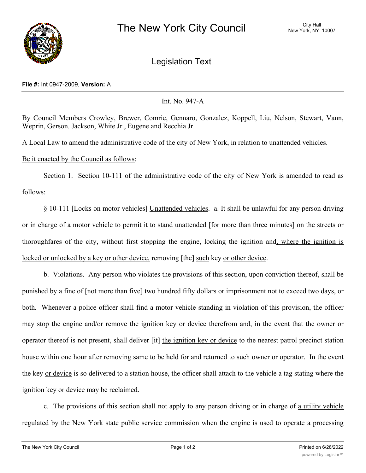

Legislation Text

## **File #:** Int 0947-2009, **Version:** A

## Int. No. 947-A

By Council Members Crowley, Brewer, Comrie, Gennaro, Gonzalez, Koppell, Liu, Nelson, Stewart, Vann, Weprin, Gerson. Jackson, White Jr., Eugene and Recchia Jr.

A Local Law to amend the administrative code of the city of New York, in relation to unattended vehicles.

## Be it enacted by the Council as follows:

Section 1. Section 10-111 of the administrative code of the city of New York is amended to read as follows:

§ 10-111 [Locks on motor vehicles] Unattended vehicles. a. It shall be unlawful for any person driving or in charge of a motor vehicle to permit it to stand unattended [for more than three minutes] on the streets or thoroughfares of the city, without first stopping the engine, locking the ignition and, where the ignition is locked or unlocked by a key or other device, removing [the] such key or other device.

b. Violations. Any person who violates the provisions of this section, upon conviction thereof, shall be punished by a fine of [not more than five] two hundred fifty dollars or imprisonment not to exceed two days, or both. Whenever a police officer shall find a motor vehicle standing in violation of this provision, the officer may stop the engine and/or remove the ignition key or device therefrom and, in the event that the owner or operator thereof is not present, shall deliver [it] the ignition key or device to the nearest patrol precinct station house within one hour after removing same to be held for and returned to such owner or operator. In the event the key or device is so delivered to a station house, the officer shall attach to the vehicle a tag stating where the ignition key or device may be reclaimed.

c. The provisions of this section shall not apply to any person driving or in charge of a utility vehicle regulated by the New York state public service commission when the engine is used to operate a processing